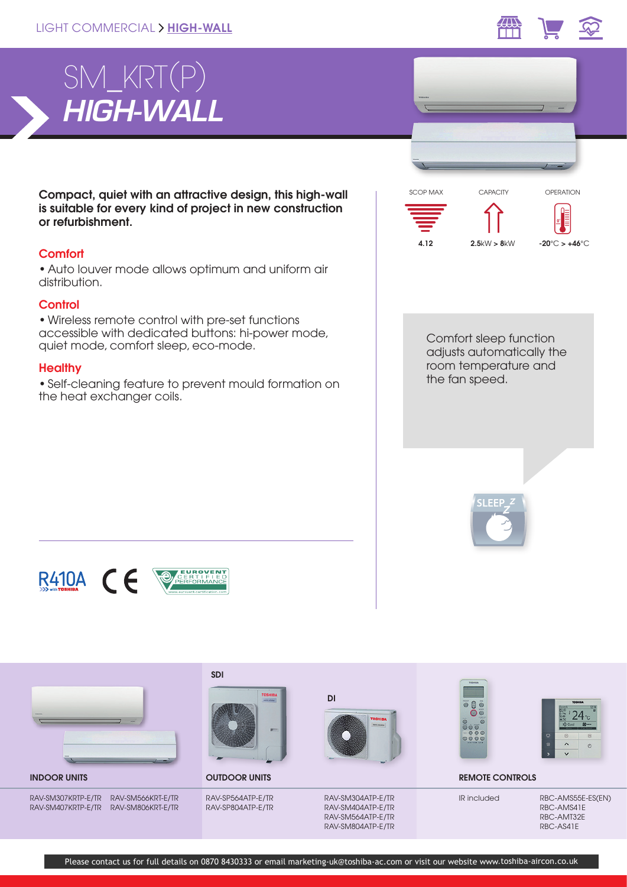



Compact, quiet with an attractive design, this high-wall is suitable for every kind of project in new construction or refurbishment.

# **Comfort**

• Auto louver mode allows optimum and uniform air distribution.

## **Control**

• Wireless remote control with pre-set functions accessible with dedicated buttons: hi-power mode, quiet mode, comfort sleep, eco-mode.

### **Healthy**

• Self-cleaning feature to prevent mould formation on the heat exchanger coils.